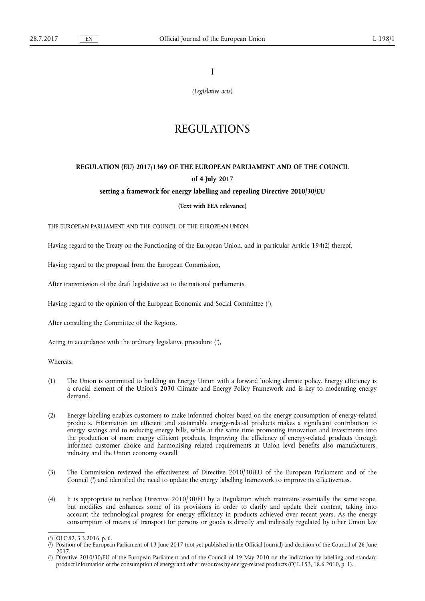I

*(Legislative acts)* 

# REGULATIONS

# **REGULATION (EU) 2017/1369 OF THE EUROPEAN PARLIAMENT AND OF THE COUNCIL of 4 July 2017**

## **setting a framework for energy labelling and repealing Directive 2010/30/EU**

## **(Text with EEA relevance)**

THE EUROPEAN PARLIAMENT AND THE COUNCIL OF THE EUROPEAN UNION,

Having regard to the Treaty on the Functioning of the European Union, and in particular Article 194(2) thereof,

Having regard to the proposal from the European Commission,

After transmission of the draft legislative act to the national parliaments,

Having regard to the opinion of the European Economic and Social Committee ( 1 ),

After consulting the Committee of the Regions,

Acting in accordance with the ordinary legislative procedure  $(2)$ ,

Whereas:

- (1) The Union is committed to building an Energy Union with a forward looking climate policy. Energy efficiency is a crucial element of the Union's 2030 Climate and Energy Policy Framework and is key to moderating energy demand.
- (2) Energy labelling enables customers to make informed choices based on the energy consumption of energy-related products. Information on efficient and sustainable energy-related products makes a significant contribution to energy savings and to reducing energy bills, while at the same time promoting innovation and investments into the production of more energy efficient products. Improving the efficiency of energy-related products through informed customer choice and harmonising related requirements at Union level benefits also manufacturers, industry and the Union economy overall.
- (3) The Commission reviewed the effectiveness of Directive 2010/30/EU of the European Parliament and of the Council ( 3 ) and identified the need to update the energy labelling framework to improve its effectiveness.
- (4) It is appropriate to replace Directive 2010/30/EU by a Regulation which maintains essentially the same scope, but modifies and enhances some of its provisions in order to clarify and update their content, taking into account the technological progress for energy efficiency in products achieved over recent years. As the energy consumption of means of transport for persons or goods is directly and indirectly regulated by other Union law

<sup>(</sup> 1 ) OJ C 82, 3.3.2016, p. 6.

<sup>(</sup> 2 ) Position of the European Parliament of 13 June 2017 (not yet published in the Official Journal) and decision of the Council of 26 June 2017.

<sup>(</sup> 3 ) Directive 2010/30/EU of the European Parliament and of the Council of 19 May 2010 on the indication by labelling and standard product information of the consumption of energy and other resources by energy-related products (OJ L 153, 18.6.2010, p. 1).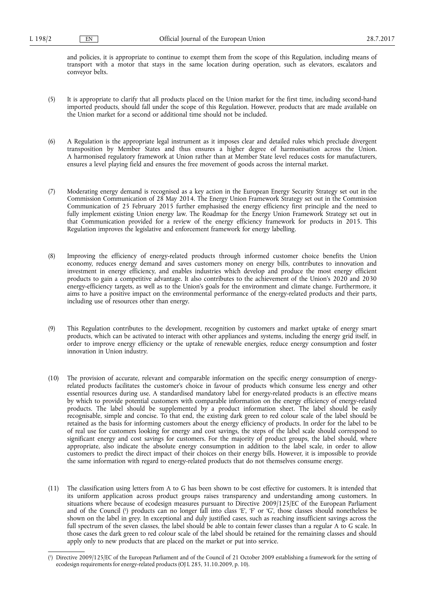and policies, it is appropriate to continue to exempt them from the scope of this Regulation, including means of transport with a motor that stays in the same location during operation, such as elevators, escalators and conveyor belts.

- (5) It is appropriate to clarify that all products placed on the Union market for the first time, including second-hand imported products, should fall under the scope of this Regulation. However, products that are made available on the Union market for a second or additional time should not be included.
- (6) A Regulation is the appropriate legal instrument as it imposes clear and detailed rules which preclude divergent transposition by Member States and thus ensures a higher degree of harmonisation across the Union. A harmonised regulatory framework at Union rather than at Member State level reduces costs for manufacturers, ensures a level playing field and ensures the free movement of goods across the internal market.
- (7) Moderating energy demand is recognised as a key action in the European Energy Security Strategy set out in the Commission Communication of 28 May 2014. The Energy Union Framework Strategy set out in the Commission Communication of 25 February 2015 further emphasised the energy efficiency first principle and the need to fully implement existing Union energy law. The Roadmap for the Energy Union Framework Strategy set out in that Communication provided for a review of the energy efficiency framework for products in 2015. This Regulation improves the legislative and enforcement framework for energy labelling.
- (8) Improving the efficiency of energy-related products through informed customer choice benefits the Union economy, reduces energy demand and saves customers money on energy bills, contributes to innovation and investment in energy efficiency, and enables industries which develop and produce the most energy efficient products to gain a competitive advantage. It also contributes to the achievement of the Union's 2020 and 2030 energy-efficiency targets, as well as to the Union's goals for the environment and climate change. Furthermore, it aims to have a positive impact on the environmental performance of the energy-related products and their parts, including use of resources other than energy.
- (9) This Regulation contributes to the development, recognition by customers and market uptake of energy smart products, which can be activated to interact with other appliances and systems, including the energy grid itself, in order to improve energy efficiency or the uptake of renewable energies, reduce energy consumption and foster innovation in Union industry.
- (10) The provision of accurate, relevant and comparable information on the specific energy consumption of energyrelated products facilitates the customer's choice in favour of products which consume less energy and other essential resources during use. A standardised mandatory label for energy-related products is an effective means by which to provide potential customers with comparable information on the energy efficiency of energy-related products. The label should be supplemented by a product information sheet. The label should be easily recognisable, simple and concise. To that end, the existing dark green to red colour scale of the label should be retained as the basis for informing customers about the energy efficiency of products. In order for the label to be of real use for customers looking for energy and cost savings, the steps of the label scale should correspond to significant energy and cost savings for customers. For the majority of product groups, the label should, where appropriate, also indicate the absolute energy consumption in addition to the label scale, in order to allow customers to predict the direct impact of their choices on their energy bills. However, it is impossible to provide the same information with regard to energy-related products that do not themselves consume energy.
- (11) The classification using letters from A to G has been shown to be cost effective for customers. It is intended that its uniform application across product groups raises transparency and understanding among customers. In situations where because of ecodesign measures pursuant to Directive 2009/125/EC of the European Parliament and of the Council ( 1 ) products can no longer fall into class 'E', 'F' or 'G', those classes should nonetheless be shown on the label in grey. In exceptional and duly justified cases, such as reaching insufficient savings across the full spectrum of the seven classes, the label should be able to contain fewer classes than a regular A to G scale. In those cases the dark green to red colour scale of the label should be retained for the remaining classes and should apply only to new products that are placed on the market or put into service.

<sup>(</sup> 1 ) Directive 2009/125/EC of the European Parliament and of the Council of 21 October 2009 establishing a framework for the setting of ecodesign requirements for energy-related products (OJ L 285, 31.10.2009, p. 10).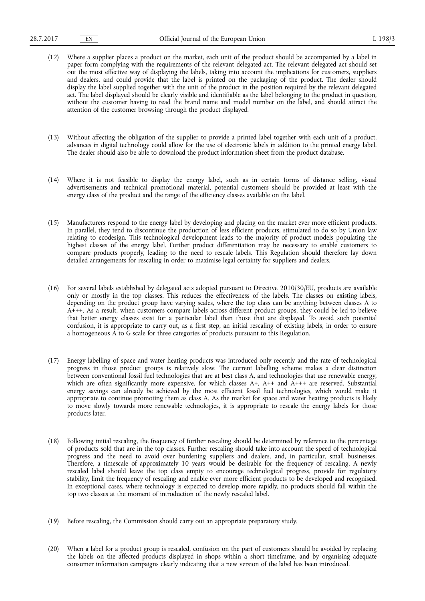- (12) Where a supplier places a product on the market, each unit of the product should be accompanied by a label in paper form complying with the requirements of the relevant delegated act. The relevant delegated act should set out the most effective way of displaying the labels, taking into account the implications for customers, suppliers and dealers, and could provide that the label is printed on the packaging of the product. The dealer should display the label supplied together with the unit of the product in the position required by the relevant delegated act. The label displayed should be clearly visible and identifiable as the label belonging to the product in question, without the customer having to read the brand name and model number on the label, and should attract the attention of the customer browsing through the product displayed.
- (13) Without affecting the obligation of the supplier to provide a printed label together with each unit of a product, advances in digital technology could allow for the use of electronic labels in addition to the printed energy label. The dealer should also be able to download the product information sheet from the product database.
- (14) Where it is not feasible to display the energy label, such as in certain forms of distance selling, visual advertisements and technical promotional material, potential customers should be provided at least with the energy class of the product and the range of the efficiency classes available on the label.
- (15) Manufacturers respond to the energy label by developing and placing on the market ever more efficient products. In parallel, they tend to discontinue the production of less efficient products, stimulated to do so by Union law relating to ecodesign. This technological development leads to the majority of product models populating the highest classes of the energy label. Further product differentiation may be necessary to enable customers to compare products properly, leading to the need to rescale labels. This Regulation should therefore lay down detailed arrangements for rescaling in order to maximise legal certainty for suppliers and dealers.
- (16) For several labels established by delegated acts adopted pursuant to Directive 2010/30/EU, products are available only or mostly in the top classes. This reduces the effectiveness of the labels. The classes on existing labels, depending on the product group have varying scales, where the top class can be anything between classes A to A+++. As a result, when customers compare labels across different product groups, they could be led to believe that better energy classes exist for a particular label than those that are displayed. To avoid such potential confusion, it is appropriate to carry out, as a first step, an initial rescaling of existing labels, in order to ensure a homogeneous A to G scale for three categories of products pursuant to this Regulation.
- (17) Energy labelling of space and water heating products was introduced only recently and the rate of technological progress in those product groups is relatively slow. The current labelling scheme makes a clear distinction between conventional fossil fuel technologies that are at best class A, and technologies that use renewable energy, which are often significantly more expensive, for which classes A+, A++ and A+++ are reserved. Substantial energy savings can already be achieved by the most efficient fossil fuel technologies, which would make it appropriate to continue promoting them as class A. As the market for space and water heating products is likely to move slowly towards more renewable technologies, it is appropriate to rescale the energy labels for those products later.
- (18) Following initial rescaling, the frequency of further rescaling should be determined by reference to the percentage of products sold that are in the top classes. Further rescaling should take into account the speed of technological progress and the need to avoid over burdening suppliers and dealers, and, in particular, small businesses. Therefore, a timescale of approximately 10 years would be desirable for the frequency of rescaling. A newly rescaled label should leave the top class empty to encourage technological progress, provide for regulatory stability, limit the frequency of rescaling and enable ever more efficient products to be developed and recognised. In exceptional cases, where technology is expected to develop more rapidly, no products should fall within the top two classes at the moment of introduction of the newly rescaled label.
- (19) Before rescaling, the Commission should carry out an appropriate preparatory study.
- (20) When a label for a product group is rescaled, confusion on the part of customers should be avoided by replacing the labels on the affected products displayed in shops within a short timeframe, and by organising adequate consumer information campaigns clearly indicating that a new version of the label has been introduced.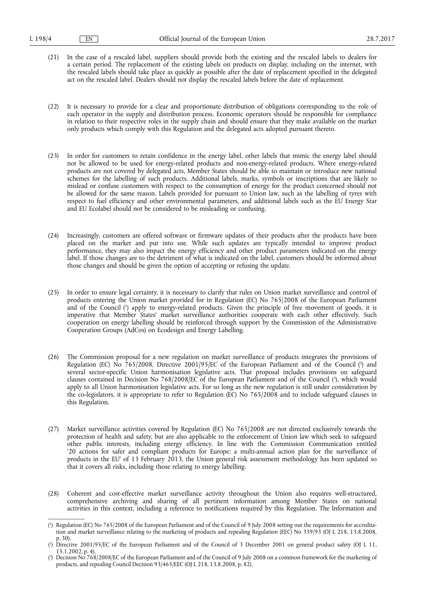- (21) In the case of a rescaled label, suppliers should provide both the existing and the rescaled labels to dealers for a certain period. The replacement of the existing labels on products on display, including on the internet, with the rescaled labels should take place as quickly as possible after the date of replacement specified in the delegated act on the rescaled label. Dealers should not display the rescaled labels before the date of replacement.
- (22) It is necessary to provide for a clear and proportionate distribution of obligations corresponding to the role of each operator in the supply and distribution process. Economic operators should be responsible for compliance in relation to their respective roles in the supply chain and should ensure that they make available on the market only products which comply with this Regulation and the delegated acts adopted pursuant thereto.
- (23) In order for customers to retain confidence in the energy label, other labels that mimic the energy label should not be allowed to be used for energy-related products and non-energy-related products. Where energy-related products are not covered by delegated acts, Member States should be able to maintain or introduce new national schemes for the labelling of such products. Additional labels, marks, symbols or inscriptions that are likely to mislead or confuse customers with respect to the consumption of energy for the product concerned should not be allowed for the same reason. Labels provided for pursuant to Union law, such as the labelling of tyres with respect to fuel efficiency and other environmental parameters, and additional labels such as the EU Energy Star and EU Ecolabel should not be considered to be misleading or confusing.
- (24) Increasingly, customers are offered software or firmware updates of their products after the products have been placed on the market and put into use. While such updates are typically intended to improve product performance, they may also impact the energy efficiency and other product parameters indicated on the energy label. If those changes are to the detriment of what is indicated on the label, customers should be informed about those changes and should be given the option of accepting or refusing the update.
- (25) In order to ensure legal certainty, it is necessary to clarify that rules on Union market surveillance and control of products entering the Union market provided for in Regulation (EC) No 765/2008 of the European Parliament and of the Council ( 1 ) apply to energy-related products. Given the principle of free movement of goods, it is imperative that Member States' market surveillance authorities cooperate with each other effectively. Such cooperation on energy labelling should be reinforced through support by the Commission of the Administrative Cooperation Groups (AdCos) on Ecodesign and Energy Labelling.
- (26) The Commission proposal for a new regulation on market surveillance of products integrates the provisions of Regulation (EC) No 765/2008, Directive 2001/95/EC of the European Parliament and of the Council (?) and several sector-specific Union harmonisation legislative acts. That proposal includes provisions on safeguard clauses contained in Decision No 768/2008/EC of the European Parliament and of the Council ( 3 ), which would apply to all Union harmonisation legislative acts. For so long as the new regulation is still under consideration by the co-legislators, it is appropriate to refer to Regulation (EC) No 765/2008 and to include safeguard clauses in this Regulation.
- (27) Market surveillance activities covered by Regulation (EC) No 765/2008 are not directed exclusively towards the protection of health and safety, but are also applicable to the enforcement of Union law which seek to safeguard other public interests, including energy efficiency. In line with the Commission Communication entitled '20 actions for safer and compliant products for Europe: a multi-annual action plan for the surveillance of products in the EU' of 13 February 2013, the Union general risk assessment methodology has been updated so that it covers all risks, including those relating to energy labelling.
- (28) Coherent and cost-effective market surveillance activity throughout the Union also requires well-structured, comprehensive archiving and sharing of all pertinent information among Member States on national activities in this context, including a reference to notifications required by this Regulation. The Information and

<sup>(</sup> 1 ) Regulation (EC) No 765/2008 of the European Parliament and of the Council of 9 July 2008 setting out the requirements for accreditation and market surveillance relating to the marketing of products and repealing Regulation (EEC) No 339/93 (OJ L 218, 13.8.2008, p. 30).

<sup>(</sup> 2 ) Directive 2001/95/EC of the European Parliament and of the Council of 3 December 2001 on general product safety (OJ L 11, 15.1.2002, p. 4).

<sup>(</sup> 3 ) Decision No 768/2008/EC of the European Parliament and of the Council of 9 July 2008 on a common framework for the marketing of products, and repealing Council Decision 93/465/EEC (OJ L 218, 13.8.2008, p. 82).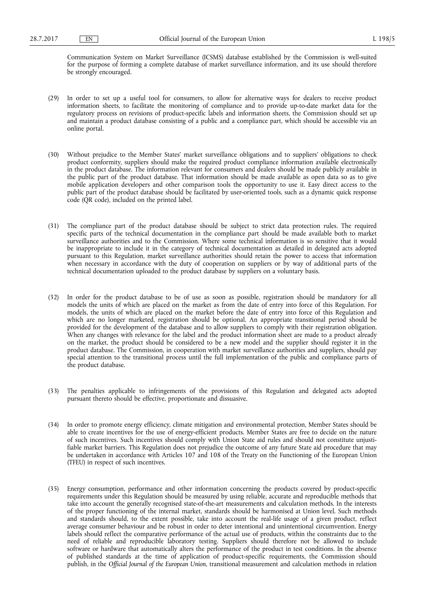Communication System on Market Surveillance (ICSMS) database established by the Commission is well-suited for the purpose of forming a complete database of market surveillance information, and its use should therefore be strongly encouraged.

- (29) In order to set up a useful tool for consumers, to allow for alternative ways for dealers to receive product information sheets, to facilitate the monitoring of compliance and to provide up-to-date market data for the regulatory process on revisions of product-specific labels and information sheets, the Commission should set up and maintain a product database consisting of a public and a compliance part, which should be accessible via an online portal.
- (30) Without prejudice to the Member States' market surveillance obligations and to suppliers' obligations to check product conformity, suppliers should make the required product compliance information available electronically in the product database. The information relevant for consumers and dealers should be made publicly available in the public part of the product database. That information should be made available as open data so as to give mobile application developers and other comparison tools the opportunity to use it. Easy direct access to the public part of the product database should be facilitated by user-oriented tools, such as a dynamic quick response code (QR code), included on the printed label.
- (31) The compliance part of the product database should be subject to strict data protection rules. The required specific parts of the technical documentation in the compliance part should be made available both to market surveillance authorities and to the Commission. Where some technical information is so sensitive that it would be inappropriate to include it in the category of technical documentation as detailed in delegated acts adopted pursuant to this Regulation, market surveillance authorities should retain the power to access that information when necessary in accordance with the duty of cooperation on suppliers or by way of additional parts of the technical documentation uploaded to the product database by suppliers on a voluntary basis.
- (32) In order for the product database to be of use as soon as possible, registration should be mandatory for all models the units of which are placed on the market as from the date of entry into force of this Regulation. For models, the units of which are placed on the market before the date of entry into force of this Regulation and which are no longer marketed, registration should be optional. An appropriate transitional period should be provided for the development of the database and to allow suppliers to comply with their registration obligation. When any changes with relevance for the label and the product information sheet are made to a product already on the market, the product should be considered to be a new model and the supplier should register it in the product database. The Commission, in cooperation with market surveillance authorities and suppliers, should pay special attention to the transitional process until the full implementation of the public and compliance parts of the product database.
- (33) The penalties applicable to infringements of the provisions of this Regulation and delegated acts adopted pursuant thereto should be effective, proportionate and dissuasive.
- (34) In order to promote energy efficiency, climate mitigation and environmental protection, Member States should be able to create incentives for the use of energy-efficient products. Member States are free to decide on the nature of such incentives. Such incentives should comply with Union State aid rules and should not constitute unjustifiable market barriers. This Regulation does not prejudice the outcome of any future State aid procedure that may be undertaken in accordance with Articles 107 and 108 of the Treaty on the Functioning of the European Union (TFEU) in respect of such incentives.
- (35) Energy consumption, performance and other information concerning the products covered by product-specific requirements under this Regulation should be measured by using reliable, accurate and reproducible methods that take into account the generally recognised state-of-the-art measurements and calculation methods. In the interests of the proper functioning of the internal market, standards should be harmonised at Union level. Such methods and standards should, to the extent possible, take into account the real-life usage of a given product, reflect average consumer behaviour and be robust in order to deter intentional and unintentional circumvention. Energy labels should reflect the comparative performance of the actual use of products, within the constraints due to the need of reliable and reproducible laboratory testing. Suppliers should therefore not be allowed to include software or hardware that automatically alters the performance of the product in test conditions. In the absence of published standards at the time of application of product-specific requirements, the Commission should publish, in the *Official Journal of the European Union*, transitional measurement and calculation methods in relation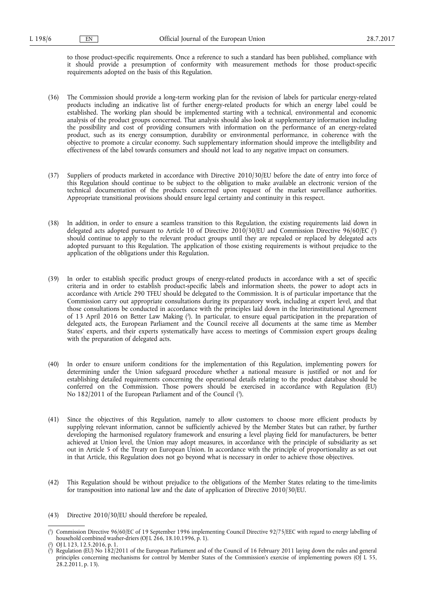to those product-specific requirements. Once a reference to such a standard has been published, compliance with it should provide a presumption of conformity with measurement methods for those product-specific requirements adopted on the basis of this Regulation.

- (36) The Commission should provide a long-term working plan for the revision of labels for particular energy-related products including an indicative list of further energy-related products for which an energy label could be established. The working plan should be implemented starting with a technical, environmental and economic analysis of the product groups concerned. That analysis should also look at supplementary information including the possibility and cost of providing consumers with information on the performance of an energy-related product, such as its energy consumption, durability or environmental performance, in coherence with the objective to promote a circular economy. Such supplementary information should improve the intelligibility and effectiveness of the label towards consumers and should not lead to any negative impact on consumers.
- (37) Suppliers of products marketed in accordance with Directive 2010/30/EU before the date of entry into force of this Regulation should continue to be subject to the obligation to make available an electronic version of the technical documentation of the products concerned upon request of the market surveillance authorities. Appropriate transitional provisions should ensure legal certainty and continuity in this respect.
- (38) In addition, in order to ensure a seamless transition to this Regulation, the existing requirements laid down in delegated acts adopted pursuant to Article 10 of Directive 2010/30/EU and Commission Directive 96/60/EC ( 1 ) should continue to apply to the relevant product groups until they are repealed or replaced by delegated acts adopted pursuant to this Regulation. The application of those existing requirements is without prejudice to the application of the obligations under this Regulation.
- (39) In order to establish specific product groups of energy-related products in accordance with a set of specific criteria and in order to establish product-specific labels and information sheets, the power to adopt acts in accordance with Article 290 TFEU should be delegated to the Commission. It is of particular importance that the Commission carry out appropriate consultations during its preparatory work, including at expert level, and that those consultations be conducted in accordance with the principles laid down in the Interinstitutional Agreement of 13 April 2016 on Better Law Making ( 2 ). In particular, to ensure equal participation in the preparation of delegated acts, the European Parliament and the Council receive all documents at the same time as Member States' experts, and their experts systematically have access to meetings of Commission expert groups dealing with the preparation of delegated acts.
- (40) In order to ensure uniform conditions for the implementation of this Regulation, implementing powers for determining under the Union safeguard procedure whether a national measure is justified or not and for establishing detailed requirements concerning the operational details relating to the product database should be conferred on the Commission. Those powers should be exercised in accordance with Regulation (EU) No 182/2011 of the European Parliament and of the Council (3).
- (41) Since the objectives of this Regulation, namely to allow customers to choose more efficient products by supplying relevant information, cannot be sufficiently achieved by the Member States but can rather, by further developing the harmonised regulatory framework and ensuring a level playing field for manufacturers, be better achieved at Union level, the Union may adopt measures, in accordance with the principle of subsidiarity as set out in Article 5 of the Treaty on European Union. In accordance with the principle of proportionality as set out in that Article, this Regulation does not go beyond what is necessary in order to achieve those objectives.
- (42) This Regulation should be without prejudice to the obligations of the Member States relating to the time-limits for transposition into national law and the date of application of Directive 2010/30/EU.
- (43) Directive 2010/30/EU should therefore be repealed,

<sup>(</sup> 1 ) Commission Directive 96/60/EC of 19 September 1996 implementing Council Directive 92/75/EEC with regard to energy labelling of household combined washer-driers (OJ L 266, 18.10.1996, p. 1).

<sup>(</sup> 2 ) OJ L 123, 12.5.2016, p. 1.

<sup>(</sup> 3 ) Regulation (EU) No 182/2011 of the European Parliament and of the Council of 16 February 2011 laying down the rules and general principles concerning mechanisms for control by Member States of the Commission's exercise of implementing powers (OJ L 55, 28.2.2011, p. 13).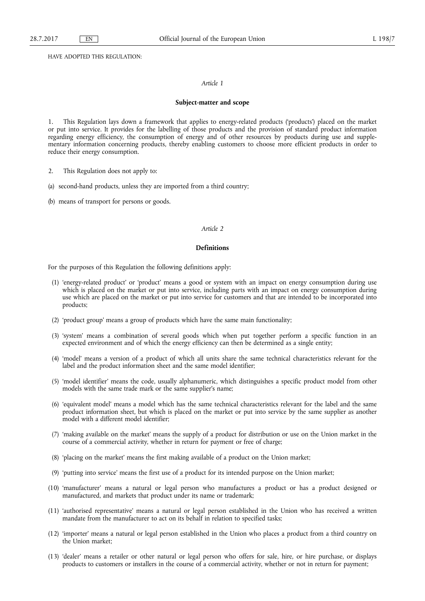HAVE ADOPTED THIS REGULATION:

#### *Article 1*

#### **Subject-matter and scope**

1. This Regulation lays down a framework that applies to energy-related products ('products') placed on the market or put into service. It provides for the labelling of those products and the provision of standard product information regarding energy efficiency, the consumption of energy and of other resources by products during use and supplementary information concerning products, thereby enabling customers to choose more efficient products in order to reduce their energy consumption.

- 2. This Regulation does not apply to:
- (a) second-hand products, unless they are imported from a third country;
- (b) means of transport for persons or goods.

#### *Article 2*

#### **Definitions**

For the purposes of this Regulation the following definitions apply:

- (1) 'energy-related product' or 'product' means a good or system with an impact on energy consumption during use which is placed on the market or put into service, including parts with an impact on energy consumption during use which are placed on the market or put into service for customers and that are intended to be incorporated into products;
- (2) 'product group' means a group of products which have the same main functionality;
- (3) 'system' means a combination of several goods which when put together perform a specific function in an expected environment and of which the energy efficiency can then be determined as a single entity;
- (4) 'model' means a version of a product of which all units share the same technical characteristics relevant for the label and the product information sheet and the same model identifier;
- (5) 'model identifier' means the code, usually alphanumeric, which distinguishes a specific product model from other models with the same trade mark or the same supplier's name;
- (6) 'equivalent model' means a model which has the same technical characteristics relevant for the label and the same product information sheet, but which is placed on the market or put into service by the same supplier as another model with a different model identifier;
- (7) 'making available on the market' means the supply of a product for distribution or use on the Union market in the course of a commercial activity, whether in return for payment or free of charge;
- (8) 'placing on the market' means the first making available of a product on the Union market;
- (9) 'putting into service' means the first use of a product for its intended purpose on the Union market;
- (10) 'manufacturer' means a natural or legal person who manufactures a product or has a product designed or manufactured, and markets that product under its name or trademark;
- (11) 'authorised representative' means a natural or legal person established in the Union who has received a written mandate from the manufacturer to act on its behalf in relation to specified tasks;
- (12) 'importer' means a natural or legal person established in the Union who places a product from a third country on the Union market;
- (13) 'dealer' means a retailer or other natural or legal person who offers for sale, hire, or hire purchase, or displays products to customers or installers in the course of a commercial activity, whether or not in return for payment;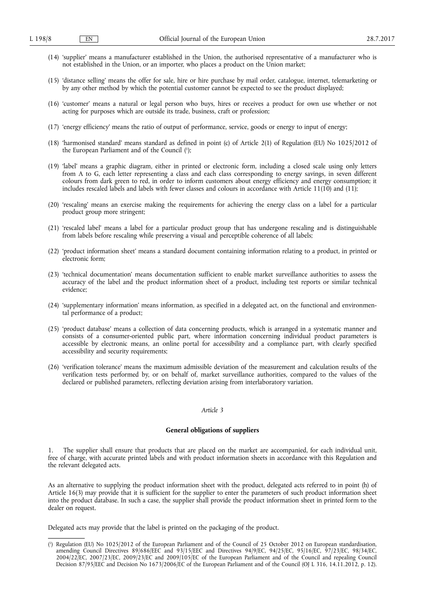- (14) 'supplier' means a manufacturer established in the Union, the authorised representative of a manufacturer who is not established in the Union, or an importer, who places a product on the Union market;
- (15) 'distance selling' means the offer for sale, hire or hire purchase by mail order, catalogue, internet, telemarketing or by any other method by which the potential customer cannot be expected to see the product displayed;
- (16) 'customer' means a natural or legal person who buys, hires or receives a product for own use whether or not acting for purposes which are outside its trade, business, craft or profession;
- (17) 'energy efficiency' means the ratio of output of performance, service, goods or energy to input of energy;
- (18) 'harmonised standard' means standard as defined in point (c) of Article 2(1) of Regulation (EU) No 1025/2012 of the European Parliament and of the Council ( 1 );
- (19) 'label' means a graphic diagram, either in printed or electronic form, including a closed scale using only letters from A to G, each letter representing a class and each class corresponding to energy savings, in seven different colours from dark green to red, in order to inform customers about energy efficiency and energy consumption; it includes rescaled labels and labels with fewer classes and colours in accordance with Article 11(10) and (11);
- (20) 'rescaling' means an exercise making the requirements for achieving the energy class on a label for a particular product group more stringent;
- (21) 'rescaled label' means a label for a particular product group that has undergone rescaling and is distinguishable from labels before rescaling while preserving a visual and perceptible coherence of all labels;
- (22) 'product information sheet' means a standard document containing information relating to a product, in printed or electronic form;
- (23) 'technical documentation' means documentation sufficient to enable market surveillance authorities to assess the accuracy of the label and the product information sheet of a product, including test reports or similar technical evidence;
- (24) 'supplementary information' means information, as specified in a delegated act, on the functional and environmental performance of a product;
- (25) 'product database' means a collection of data concerning products, which is arranged in a systematic manner and consists of a consumer-oriented public part, where information concerning individual product parameters is accessible by electronic means, an online portal for accessibility and a compliance part, with clearly specified accessibility and security requirements;
- (26) 'verification tolerance' means the maximum admissible deviation of the measurement and calculation results of the verification tests performed by, or on behalf of, market surveillance authorities, compared to the values of the declared or published parameters, reflecting deviation arising from interlaboratory variation.

#### **General obligations of suppliers**

1. The supplier shall ensure that products that are placed on the market are accompanied, for each individual unit, free of charge, with accurate printed labels and with product information sheets in accordance with this Regulation and the relevant delegated acts.

As an alternative to supplying the product information sheet with the product, delegated acts referred to in point (h) of Article 16(3) may provide that it is sufficient for the supplier to enter the parameters of such product information sheet into the product database. In such a case, the supplier shall provide the product information sheet in printed form to the dealer on request.

Delegated acts may provide that the label is printed on the packaging of the product.

<sup>(</sup> 1 ) Regulation (EU) No 1025/2012 of the European Parliament and of the Council of 25 October 2012 on European standardisation, amending Council Directives 89/686/EEC and 93/15/EEC and Directives 94/9/EC, 94/25/EC, 95/16/EC, 97/23/EC, 98/34/EC, 2004/22/EC, 2007/23/EC, 2009/23/EC and 2009/105/EC of the European Parliament and of the Council and repealing Council Decision 87/95/EEC and Decision No 1673/2006/EC of the European Parliament and of the Council (OJ L 316, 14.11.2012, p. 12).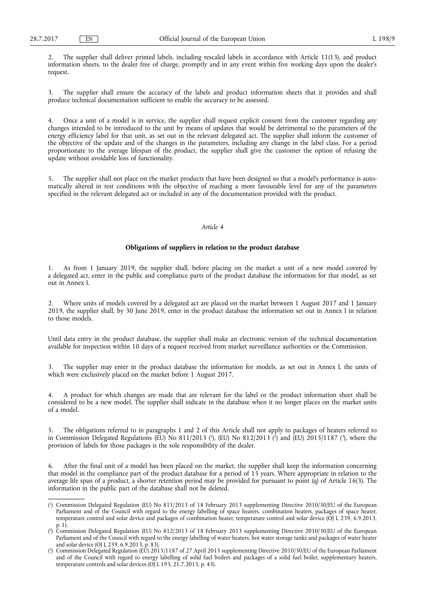2. The supplier shall deliver printed labels, including rescaled labels in accordance with Article 11(13), and product information sheets, to the dealer free of charge, promptly and in any event within five working days upon the dealer's request.

3. The supplier shall ensure the accuracy of the labels and product information sheets that it provides and shall produce technical documentation sufficient to enable the accuracy to be assessed.

4. Once a unit of a model is in service, the supplier shall request explicit consent from the customer regarding any changes intended to be introduced to the unit by means of updates that would be detrimental to the parameters of the energy efficiency label for that unit, as set out in the relevant delegated act. The supplier shall inform the customer of the objective of the update and of the changes in the parameters, including any change in the label class. For a period proportionate to the average lifespan of the product, the supplier shall give the customer the option of refusing the update without avoidable loss of functionality.

5. The supplier shall not place on the market products that have been designed so that a model's performance is automatically altered in test conditions with the objective of reaching a more favourable level for any of the parameters specified in the relevant delegated act or included in any of the documentation provided with the product.

## *Article 4*

#### **Obligations of suppliers in relation to the product database**

1. As from 1 January 2019, the supplier shall, before placing on the market a unit of a new model covered by a delegated act, enter in the public and compliance parts of the product database the information for that model, as set out in Annex I.

2. Where units of models covered by a delegated act are placed on the market between 1 August 2017 and 1 January 2019, the supplier shall, by 30 June 2019, enter in the product database the information set out in Annex I in relation to those models.

Until data entry in the product database, the supplier shall make an electronic version of the technical documentation available for inspection within 10 days of a request received from market surveillance authorities or the Commission.

The supplier may enter in the product database the information for models, as set out in Annex I, the units of which were exclusively placed on the market before 1 August 2017.

4. A product for which changes are made that are relevant for the label or the product information sheet shall be considered to be a new model. The supplier shall indicate in the database when it no longer places on the market units of a model.

5. The obligations referred to in paragraphs 1 and 2 of this Article shall not apply to packages of heaters referred to in Commission Delegated Regulations (EU) No 811/2013 ('), (EU) No 812/2013 (') and (EU) 2015/1187 ('), where the provision of labels for those packages is the sole responsibility of the dealer.

6. After the final unit of a model has been placed on the market, the supplier shall keep the information concerning that model in the compliance part of the product database for a period of  $15$  years. Where appropriate in relation to the average life span of a product, a shorter retention period may be provided for pursuant to point (q) of Article 16(3). The information in the public part of the database shall not be deleted.

<sup>(</sup> 1 ) Commission Delegated Regulation (EU) No 811/2013 of 18 February 2013 supplementing Directive 2010/30/EU of the European Parliament and of the Council with regard to the energy labelling of space heaters, combination heaters, packages of space heater, temperature control and solar device and packages of combination heater, temperature control and solar device (OJ L 239, 6.9.2013, p. 1).

<sup>(</sup> 2 ) Commission Delegated Regulation (EU) No 812/2013 of 18 February 2013 supplementing Directive 2010/30/EU of the European Parliament and of the Council with regard to the energy labelling of water heaters, hot water storage tanks and packages of water heater and solar device (OJ L 239, 6.9.2013, p. 83).

<sup>(</sup> 3 Commission Delegated Regulation (EU) 2015/1187 of 27 April 2015 supplementing Directive 2010/30/EU of the European Parliament and of the Council with regard to energy labelling of solid fuel boilers and packages of a solid fuel boiler, supplementary heaters, temperature controls and solar devices (OJ L 193, 21.7.2015, p. 43).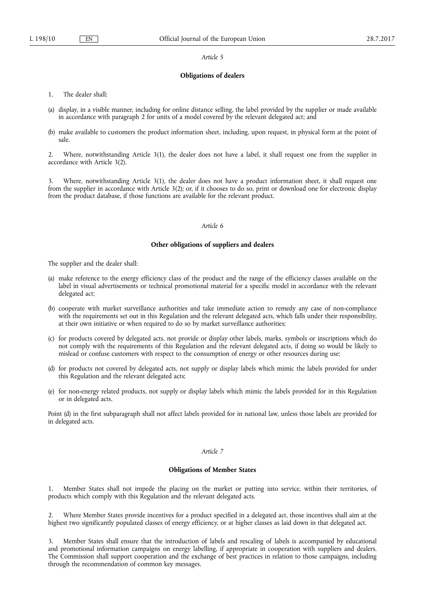#### **Obligations of dealers**

- 1. The dealer shall:
- (a) display, in a visible manner, including for online distance selling, the label provided by the supplier or made available in accordance with paragraph 2 for units of a model covered by the relevant delegated act; and
- (b) make available to customers the product information sheet, including, upon request, in physical form at the point of sale.

2. Where, notwithstanding Article 3(1), the dealer does not have a label, it shall request one from the supplier in accordance with Article 3(2).

3. Where, notwithstanding Article 3(1), the dealer does not have a product information sheet, it shall request one from the supplier in accordance with Article 3(2); or, if it chooses to do so, print or download one for electronic display from the product database, if those functions are available for the relevant product.

### *Article 6*

## **Other obligations of suppliers and dealers**

The supplier and the dealer shall:

- (a) make reference to the energy efficiency class of the product and the range of the efficiency classes available on the label in visual advertisements or technical promotional material for a specific model in accordance with the relevant delegated act;
- (b) cooperate with market surveillance authorities and take immediate action to remedy any case of non-compliance with the requirements set out in this Regulation and the relevant delegated acts, which falls under their responsibility, at their own initiative or when required to do so by market surveillance authorities;
- (c) for products covered by delegated acts, not provide or display other labels, marks, symbols or inscriptions which do not comply with the requirements of this Regulation and the relevant delegated acts, if doing so would be likely to mislead or confuse customers with respect to the consumption of energy or other resources during use;
- (d) for products not covered by delegated acts, not supply or display labels which mimic the labels provided for under this Regulation and the relevant delegated acts;
- (e) for non-energy related products, not supply or display labels which mimic the labels provided for in this Regulation or in delegated acts.

Point (d) in the first subparagraph shall not affect labels provided for in national law, unless those labels are provided for in delegated acts.

## *Article 7*

#### **Obligations of Member States**

1. Member States shall not impede the placing on the market or putting into service, within their territories, of products which comply with this Regulation and the relevant delegated acts.

2. Where Member States provide incentives for a product specified in a delegated act, those incentives shall aim at the highest two significantly populated classes of energy efficiency, or at higher classes as laid down in that delegated act.

3. Member States shall ensure that the introduction of labels and rescaling of labels is accompanied by educational and promotional information campaigns on energy labelling, if appropriate in cooperation with suppliers and dealers. The Commission shall support cooperation and the exchange of best practices in relation to those campaigns, including through the recommendation of common key messages.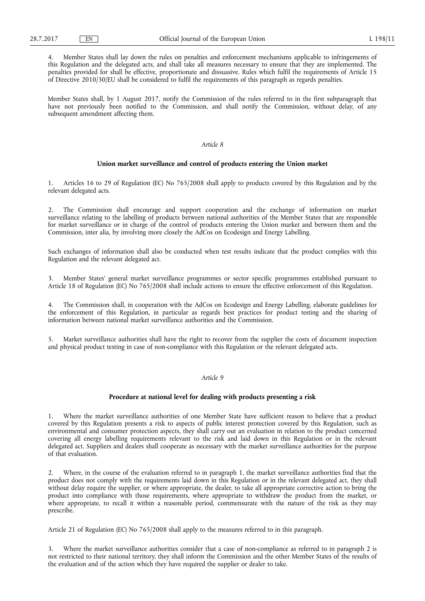4. Member States shall lay down the rules on penalties and enforcement mechanisms applicable to infringements of this Regulation and the delegated acts, and shall take all measures necessary to ensure that they are implemented. The penalties provided for shall be effective, proportionate and dissuasive. Rules which fulfil the requirements of Article 15 of Directive 2010/30/EU shall be considered to fulfil the requirements of this paragraph as regards penalties.

Member States shall, by 1 August 2017, notify the Commission of the rules referred to in the first subparagraph that have not previously been notified to the Commission, and shall notify the Commission, without delay, of any subsequent amendment affecting them.

## *Article 8*

### **Union market surveillance and control of products entering the Union market**

Articles 16 to 29 of Regulation (EC) No 765/2008 shall apply to products covered by this Regulation and by the relevant delegated acts.

2. The Commission shall encourage and support cooperation and the exchange of information on market surveillance relating to the labelling of products between national authorities of the Member States that are responsible for market surveillance or in charge of the control of products entering the Union market and between them and the Commission, inter alia, by involving more closely the AdCos on Ecodesign and Energy Labelling.

Such exchanges of information shall also be conducted when test results indicate that the product complies with this Regulation and the relevant delegated act.

3. Member States' general market surveillance programmes or sector specific programmes established pursuant to Article 18 of Regulation (EC) No 765/2008 shall include actions to ensure the effective enforcement of this Regulation.

4. The Commission shall, in cooperation with the AdCos on Ecodesign and Energy Labelling, elaborate guidelines for the enforcement of this Regulation, in particular as regards best practices for product testing and the sharing of information between national market surveillance authorities and the Commission.

5. Market surveillance authorities shall have the right to recover from the supplier the costs of document inspection and physical product testing in case of non-compliance with this Regulation or the relevant delegated acts.

## *Article 9*

#### **Procedure at national level for dealing with products presenting a risk**

Where the market surveillance authorities of one Member State have sufficient reason to believe that a product covered by this Regulation presents a risk to aspects of public interest protection covered by this Regulation, such as environmental and consumer protection aspects, they shall carry out an evaluation in relation to the product concerned covering all energy labelling requirements relevant to the risk and laid down in this Regulation or in the relevant delegated act. Suppliers and dealers shall cooperate as necessary with the market surveillance authorities for the purpose of that evaluation.

2. Where, in the course of the evaluation referred to in paragraph 1, the market surveillance authorities find that the product does not comply with the requirements laid down in this Regulation or in the relevant delegated act, they shall without delay require the supplier, or where appropriate, the dealer, to take all appropriate corrective action to bring the product into compliance with those requirements, where appropriate to withdraw the product from the market, or where appropriate, to recall it within a reasonable period, commensurate with the nature of the risk as they may prescribe.

Article 21 of Regulation (EC) No 765/2008 shall apply to the measures referred to in this paragraph.

3. Where the market surveillance authorities consider that a case of non-compliance as referred to in paragraph 2 is not restricted to their national territory, they shall inform the Commission and the other Member States of the results of the evaluation and of the action which they have required the supplier or dealer to take.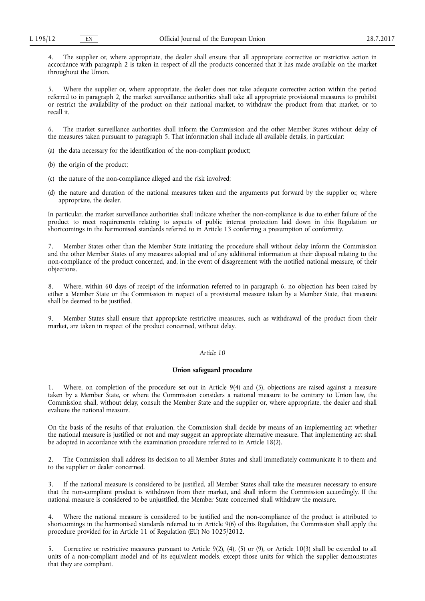4. The supplier or, where appropriate, the dealer shall ensure that all appropriate corrective or restrictive action in accordance with paragraph 2 is taken in respect of all the products concerned that it has made available on the market throughout the Union.

5. Where the supplier or, where appropriate, the dealer does not take adequate corrective action within the period referred to in paragraph 2, the market surveillance authorities shall take all appropriate provisional measures to prohibit or restrict the availability of the product on their national market, to withdraw the product from that market, or to recall it.

6. The market surveillance authorities shall inform the Commission and the other Member States without delay of the measures taken pursuant to paragraph 5. That information shall include all available details, in particular:

- (a) the data necessary for the identification of the non-compliant product;
- (b) the origin of the product;
- (c) the nature of the non-compliance alleged and the risk involved;
- (d) the nature and duration of the national measures taken and the arguments put forward by the supplier or, where appropriate, the dealer.

In particular, the market surveillance authorities shall indicate whether the non-compliance is due to either failure of the product to meet requirements relating to aspects of public interest protection laid down in this Regulation or shortcomings in the harmonised standards referred to in Article 13 conferring a presumption of conformity.

7. Member States other than the Member State initiating the procedure shall without delay inform the Commission and the other Member States of any measures adopted and of any additional information at their disposal relating to the non-compliance of the product concerned, and, in the event of disagreement with the notified national measure, of their objections.

8. Where, within 60 days of receipt of the information referred to in paragraph 6, no objection has been raised by either a Member State or the Commission in respect of a provisional measure taken by a Member State, that measure shall be deemed to be justified.

9. Member States shall ensure that appropriate restrictive measures, such as withdrawal of the product from their market, are taken in respect of the product concerned, without delay.

#### *Article 10*

### **Union safeguard procedure**

1. Where, on completion of the procedure set out in Article 9(4) and (5), objections are raised against a measure taken by a Member State, or where the Commission considers a national measure to be contrary to Union law, the Commission shall, without delay, consult the Member State and the supplier or, where appropriate, the dealer and shall evaluate the national measure.

On the basis of the results of that evaluation, the Commission shall decide by means of an implementing act whether the national measure is justified or not and may suggest an appropriate alternative measure. That implementing act shall be adopted in accordance with the examination procedure referred to in Article 18(2).

2. The Commission shall address its decision to all Member States and shall immediately communicate it to them and to the supplier or dealer concerned.

If the national measure is considered to be justified, all Member States shall take the measures necessary to ensure that the non-compliant product is withdrawn from their market, and shall inform the Commission accordingly. If the national measure is considered to be unjustified, the Member State concerned shall withdraw the measure.

4. Where the national measure is considered to be justified and the non-compliance of the product is attributed to shortcomings in the harmonised standards referred to in Article 9(6) of this Regulation, the Commission shall apply the procedure provided for in Article 11 of Regulation (EU) No 1025/2012.

5. Corrective or restrictive measures pursuant to Article 9(2), (4), (5) or (9), or Article 10(3) shall be extended to all units of a non-compliant model and of its equivalent models, except those units for which the supplier demonstrates that they are compliant.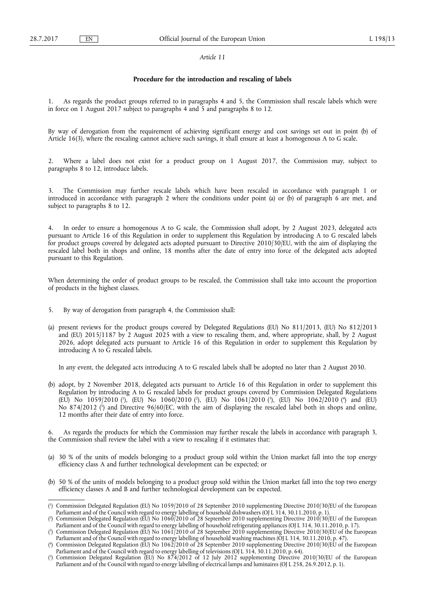#### **Procedure for the introduction and rescaling of labels**

1. As regards the product groups referred to in paragraphs 4 and 5, the Commission shall rescale labels which were in force on 1 August 2017 subject to paragraphs 4 and 5 and paragraphs 8 to 12.

By way of derogation from the requirement of achieving significant energy and cost savings set out in point (b) of Article 16(3), where the rescaling cannot achieve such savings, it shall ensure at least a homogenous A to G scale.

2. Where a label does not exist for a product group on 1 August 2017, the Commission may, subject to paragraphs 8 to 12, introduce labels.

The Commission may further rescale labels which have been rescaled in accordance with paragraph 1 or introduced in accordance with paragraph 2 where the conditions under point (a) or (b) of paragraph 6 are met, and subject to paragraphs 8 to 12.

4. In order to ensure a homogenous A to G scale, the Commission shall adopt, by 2 August 2023, delegated acts pursuant to Article 16 of this Regulation in order to supplement this Regulation by introducing A to G rescaled labels for product groups covered by delegated acts adopted pursuant to Directive 2010/30/EU, with the aim of displaying the rescaled label both in shops and online, 18 months after the date of entry into force of the delegated acts adopted pursuant to this Regulation.

When determining the order of product groups to be rescaled, the Commission shall take into account the proportion of products in the highest classes.

- 5. By way of derogation from paragraph 4, the Commission shall:
- (a) present reviews for the product groups covered by Delegated Regulations (EU) No 811/2013, (EU) No 812/2013 and (EU) 2015/1187 by 2 August 2025 with a view to rescaling them, and, where appropriate, shall, by 2 August 2026, adopt delegated acts pursuant to Article 16 of this Regulation in order to supplement this Regulation by introducing A to G rescaled labels.

In any event, the delegated acts introducing A to G rescaled labels shall be adopted no later than 2 August 2030.

(b) adopt, by 2 November 2018, delegated acts pursuant to Article 16 of this Regulation in order to supplement this Regulation by introducing A to G rescaled labels for product groups covered by Commission Delegated Regulations (EU) No 1059/2010 (<sup>1</sup>), (EU) No 1060/2010 (<sup>2</sup>), (EU) No 1061/2010 (<sup>3</sup>), (EU) No 1062/2010 (<sup>4</sup>) and (EU) No 874/2012 ( 5 ) and Directive 96/60/EC, with the aim of displaying the rescaled label both in shops and online, 12 months after their date of entry into force.

6. As regards the products for which the Commission may further rescale the labels in accordance with paragraph 3, the Commission shall review the label with a view to rescaling if it estimates that:

- (a) 30 % of the units of models belonging to a product group sold within the Union market fall into the top energy efficiency class A and further technological development can be expected; or
- (b) 50 % of the units of models belonging to a product group sold within the Union market fall into the top two energy efficiency classes A and B and further technological development can be expected.

<sup>(</sup> 1 ) Commission Delegated Regulation (EU) No 1059/2010 of 28 September 2010 supplementing Directive 2010/30/EU of the European Parliament and of the Council with regard to energy labelling of household dishwashers (OJ L 314, 30.11.2010, p. 1).

<sup>(</sup> 2 ) Commission Delegated Regulation (EU) No 1060/2010 of 28 September 2010 supplementing Directive 2010/30/EU of the European Parliament and of the Council with regard to energy labelling of household refrigerating appliances (OJ L 314, 30.11.2010, p. 17).

<sup>(</sup> 3 ) Commission Delegated Regulation (EU) No 1061/2010 of 28 September 2010 supplementing Directive 2010/30/EU of the European Parliament and of the Council with regard to energy labelling of household washing machines (OJ L 314, 30.11.2010, p. 47).

<sup>(</sup> 4 ) Commission Delegated Regulation (EU) No 1062/2010 of 28 September 2010 supplementing Directive 2010/30/EU of the European Parliament and of the Council with regard to energy labelling of televisions (OJ L 314, 30.11.2010, p. 64).

<sup>(</sup> 5 ) Commission Delegated Regulation (EU) No 874/2012 of 12 July 2012 supplementing Directive 2010/30/EU of the European Parliament and of the Council with regard to energy labelling of electrical lamps and luminaires (OJ L 258, 26.9.2012, p. 1).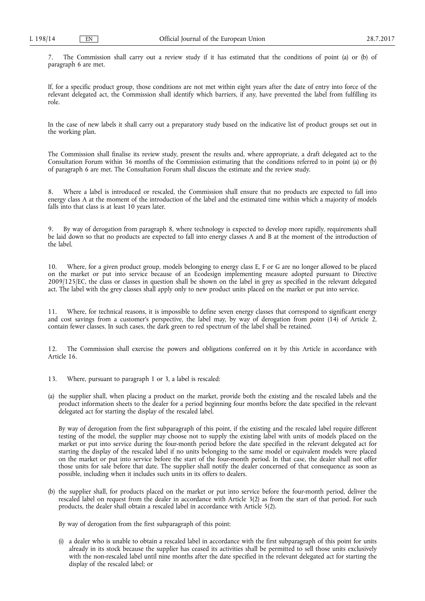7. The Commission shall carry out a review study if it has estimated that the conditions of point (a) or (b) of paragraph 6 are met.

If, for a specific product group, those conditions are not met within eight years after the date of entry into force of the relevant delegated act, the Commission shall identify which barriers, if any, have prevented the label from fulfilling its role.

In the case of new labels it shall carry out a preparatory study based on the indicative list of product groups set out in the working plan.

The Commission shall finalise its review study, present the results and, where appropriate, a draft delegated act to the Consultation Forum within 36 months of the Commission estimating that the conditions referred to in point (a) or (b) of paragraph 6 are met. The Consultation Forum shall discuss the estimate and the review study.

Where a label is introduced or rescaled, the Commission shall ensure that no products are expected to fall into energy class A at the moment of the introduction of the label and the estimated time within which a majority of models falls into that class is at least 10 years later.

9. By way of derogation from paragraph 8, where technology is expected to develop more rapidly, requirements shall be laid down so that no products are expected to fall into energy classes A and B at the moment of the introduction of the label.

10. Where, for a given product group, models belonging to energy class E, F or G are no longer allowed to be placed on the market or put into service because of an Ecodesign implementing measure adopted pursuant to Directive 2009/125/EC, the class or classes in question shall be shown on the label in grey as specified in the relevant delegated act. The label with the grey classes shall apply only to new product units placed on the market or put into service.

11. Where, for technical reasons, it is impossible to define seven energy classes that correspond to significant energy and cost savings from a customer's perspective, the label may, by way of derogation from point (14) of Article 2, contain fewer classes. In such cases, the dark green to red spectrum of the label shall be retained.

12. The Commission shall exercise the powers and obligations conferred on it by this Article in accordance with Article 16.

- 13. Where, pursuant to paragraph 1 or 3, a label is rescaled:
- (a) the supplier shall, when placing a product on the market, provide both the existing and the rescaled labels and the product information sheets to the dealer for a period beginning four months before the date specified in the relevant delegated act for starting the display of the rescaled label.

By way of derogation from the first subparagraph of this point, if the existing and the rescaled label require different testing of the model, the supplier may choose not to supply the existing label with units of models placed on the market or put into service during the four-month period before the date specified in the relevant delegated act for starting the display of the rescaled label if no units belonging to the same model or equivalent models were placed on the market or put into service before the start of the four-month period. In that case, the dealer shall not offer those units for sale before that date. The supplier shall notify the dealer concerned of that consequence as soon as possible, including when it includes such units in its offers to dealers.

(b) the supplier shall, for products placed on the market or put into service before the four-month period, deliver the rescaled label on request from the dealer in accordance with Article 3(2) as from the start of that period. For such products, the dealer shall obtain a rescaled label in accordance with Article 5(2).

By way of derogation from the first subparagraph of this point:

(i) a dealer who is unable to obtain a rescaled label in accordance with the first subparagraph of this point for units already in its stock because the supplier has ceased its activities shall be permitted to sell those units exclusively with the non-rescaled label until nine months after the date specified in the relevant delegated act for starting the display of the rescaled label; or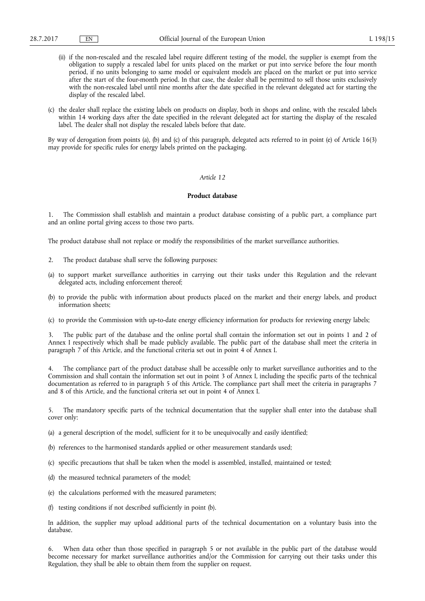- (ii) if the non-rescaled and the rescaled label require different testing of the model, the supplier is exempt from the obligation to supply a rescaled label for units placed on the market or put into service before the four month period, if no units belonging to same model or equivalent models are placed on the market or put into service after the start of the four-month period. In that case, the dealer shall be permitted to sell those units exclusively with the non-rescaled label until nine months after the date specified in the relevant delegated act for starting the display of the rescaled label.
- (c) the dealer shall replace the existing labels on products on display, both in shops and online, with the rescaled labels within 14 working days after the date specified in the relevant delegated act for starting the display of the rescaled label. The dealer shall not display the rescaled labels before that date.

By way of derogation from points (a), (b) and (c) of this paragraph, delegated acts referred to in point (e) of Article 16(3) may provide for specific rules for energy labels printed on the packaging.

## *Article 12*

#### **Product database**

1. The Commission shall establish and maintain a product database consisting of a public part, a compliance part and an online portal giving access to those two parts.

The product database shall not replace or modify the responsibilities of the market surveillance authorities.

- 2. The product database shall serve the following purposes:
- (a) to support market surveillance authorities in carrying out their tasks under this Regulation and the relevant delegated acts, including enforcement thereof;
- (b) to provide the public with information about products placed on the market and their energy labels, and product information sheets;
- (c) to provide the Commission with up-to-date energy efficiency information for products for reviewing energy labels;

3. The public part of the database and the online portal shall contain the information set out in points 1 and 2 of Annex I respectively which shall be made publicly available. The public part of the database shall meet the criteria in paragraph 7 of this Article, and the functional criteria set out in point 4 of Annex I.

4. The compliance part of the product database shall be accessible only to market surveillance authorities and to the Commission and shall contain the information set out in point 3 of Annex I, including the specific parts of the technical documentation as referred to in paragraph 5 of this Article. The compliance part shall meet the criteria in paragraphs 7 and 8 of this Article, and the functional criteria set out in point 4 of Annex I.

5. The mandatory specific parts of the technical documentation that the supplier shall enter into the database shall cover only:

- (a) a general description of the model, sufficient for it to be unequivocally and easily identified;
- (b) references to the harmonised standards applied or other measurement standards used;
- (c) specific precautions that shall be taken when the model is assembled, installed, maintained or tested;
- (d) the measured technical parameters of the model;
- (e) the calculations performed with the measured parameters;
- (f) testing conditions if not described sufficiently in point (b).

In addition, the supplier may upload additional parts of the technical documentation on a voluntary basis into the database.

6. When data other than those specified in paragraph 5 or not available in the public part of the database would become necessary for market surveillance authorities and/or the Commission for carrying out their tasks under this Regulation, they shall be able to obtain them from the supplier on request.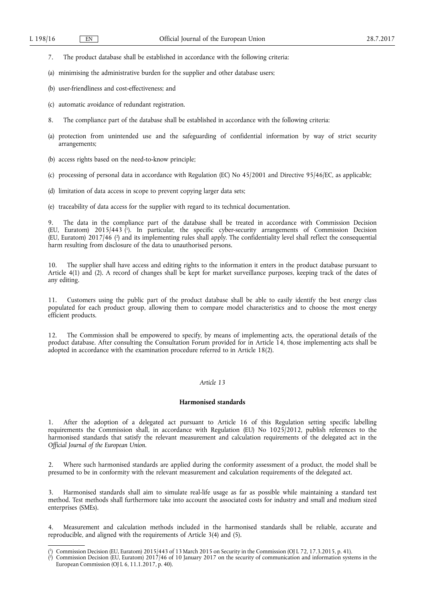- 7. The product database shall be established in accordance with the following criteria:
- (a) minimising the administrative burden for the supplier and other database users;
- (b) user-friendliness and cost-effectiveness; and
- (c) automatic avoidance of redundant registration.
- 8. The compliance part of the database shall be established in accordance with the following criteria:
- (a) protection from unintended use and the safeguarding of confidential information by way of strict security arrangements;
- (b) access rights based on the need-to-know principle;
- (c) processing of personal data in accordance with Regulation (EC) No 45/2001 and Directive 95/46/EC, as applicable;
- (d) limitation of data access in scope to prevent copying larger data sets;
- (e) traceability of data access for the supplier with regard to its technical documentation.

The data in the compliance part of the database shall be treated in accordance with Commission Decision (EU, Euratom) 2015/443 ( 1 ). In particular, the specific cyber-security arrangements of Commission Decision (EU, Euratom) 2017/46 ( 2 ) and its implementing rules shall apply. The confidentiality level shall reflect the consequential harm resulting from disclosure of the data to unauthorised persons.

10. The supplier shall have access and editing rights to the information it enters in the product database pursuant to Article 4(1) and (2). A record of changes shall be kept for market surveillance purposes, keeping track of the dates of any editing.

11. Customers using the public part of the product database shall be able to easily identify the best energy class populated for each product group, allowing them to compare model characteristics and to choose the most energy efficient products.

12. The Commission shall be empowered to specify, by means of implementing acts, the operational details of the product database. After consulting the Consultation Forum provided for in Article 14, those implementing acts shall be adopted in accordance with the examination procedure referred to in Article 18(2).

## *Article 13*

#### **Harmonised standards**

1. After the adoption of a delegated act pursuant to Article 16 of this Regulation setting specific labelling requirements the Commission shall, in accordance with Regulation (EU) No 1025/2012, publish references to the harmonised standards that satisfy the relevant measurement and calculation requirements of the delegated act in the *Official Journal of the European Union*.

2. Where such harmonised standards are applied during the conformity assessment of a product, the model shall be presumed to be in conformity with the relevant measurement and calculation requirements of the delegated act.

3. Harmonised standards shall aim to simulate real-life usage as far as possible while maintaining a standard test method. Test methods shall furthermore take into account the associated costs for industry and small and medium sized enterprises (SMEs).

4. Measurement and calculation methods included in the harmonised standards shall be reliable, accurate and reproducible, and aligned with the requirements of Article 3(4) and (5).

<sup>(</sup> 1 ) Commission Decision (EU, Euratom) 2015/443 of 13 March 2015 on Security in the Commission (OJ L 72, 17.3.2015, p. 41).

<sup>(</sup> 2 ) Commission Decision (EU, Euratom) 2017/46 of 10 January 2017 on the security of communication and information systems in the European Commission (OJ L 6, 11.1.2017, p. 40).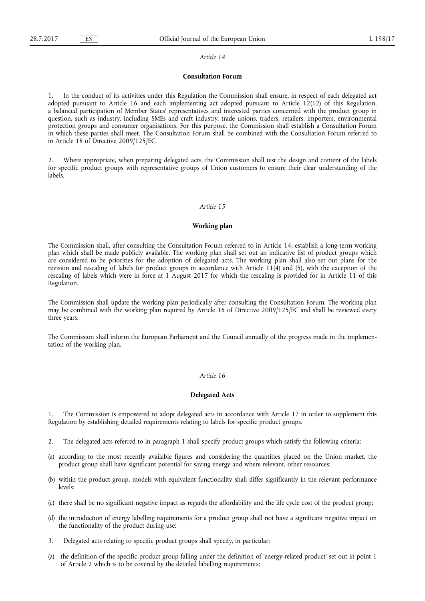#### **Consultation Forum**

1. In the conduct of its activities under this Regulation the Commission shall ensure, in respect of each delegated act adopted pursuant to Article 16 and each implementing act adopted pursuant to Article 12(12) of this Regulation, a balanced participation of Member States' representatives and interested parties concerned with the product group in question, such as industry, including SMEs and craft industry, trade unions, traders, retailers, importers, environmental protection groups and consumer organisations. For this purpose, the Commission shall establish a Consultation Forum in which these parties shall meet. The Consultation Forum shall be combined with the Consultation Forum referred to in Article 18 of Directive 2009/125/EC.

2. Where appropriate, when preparing delegated acts, the Commission shall test the design and content of the labels for specific product groups with representative groups of Union customers to ensure their clear understanding of the labels.

## *Article 15*

#### **Working plan**

The Commission shall, after consulting the Consultation Forum referred to in Article 14, establish a long-term working plan which shall be made publicly available. The working plan shall set out an indicative list of product groups which are considered to be priorities for the adoption of delegated acts. The working plan shall also set out plans for the revision and rescaling of labels for product groups in accordance with Article 11(4) and (5), with the exception of the rescaling of labels which were in force at 1 August 2017 for which the rescaling is provided for in Article 11 of this Regulation.

The Commission shall update the working plan periodically after consulting the Consultation Forum. The working plan may be combined with the working plan required by Article 16 of Directive 2009/125/EC and shall be reviewed every three years.

The Commission shall inform the European Parliament and the Council annually of the progress made in the implementation of the working plan.

#### *Article 16*

## **Delegated Acts**

The Commission is empowered to adopt delegated acts in accordance with Article 17 in order to supplement this Regulation by establishing detailed requirements relating to labels for specific product groups.

- 2. The delegated acts referred to in paragraph 1 shall specify product groups which satisfy the following criteria:
- (a) according to the most recently available figures and considering the quantities placed on the Union market, the product group shall have significant potential for saving energy and where relevant, other resources;
- (b) within the product group, models with equivalent functionality shall differ significantly in the relevant performance levels;
- (c) there shall be no significant negative impact as regards the affordability and the life cycle cost of the product group;
- (d) the introduction of energy labelling requirements for a product group shall not have a significant negative impact on the functionality of the product during use;
- 3. Delegated acts relating to specific product groups shall specify, in particular:
- (a) the definition of the specific product group falling under the definition of 'energy-related product' set out in point 1 of Article 2 which is to be covered by the detailed labelling requirements;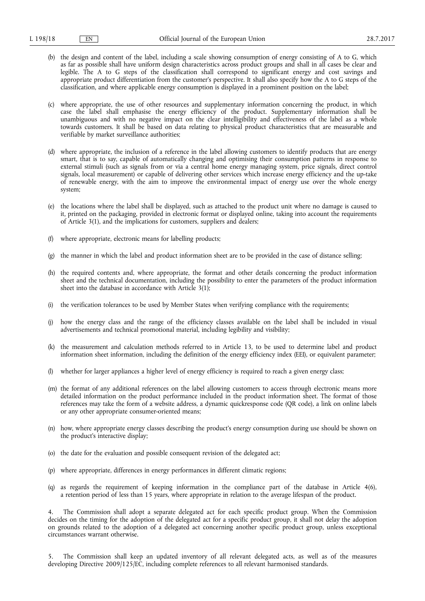- (b) the design and content of the label, including a scale showing consumption of energy consisting of A to G, which as far as possible shall have uniform design characteristics across product groups and shall in all cases be clear and legible. The A to G steps of the classification shall correspond to significant energy and cost savings and appropriate product differentiation from the customer's perspective. It shall also specify how the A to G steps of the classification, and where applicable energy consumption is displayed in a prominent position on the label;
- (c) where appropriate, the use of other resources and supplementary information concerning the product, in which case the label shall emphasise the energy efficiency of the product. Supplementary information shall be unambiguous and with no negative impact on the clear intelligibility and effectiveness of the label as a whole towards customers. It shall be based on data relating to physical product characteristics that are measurable and verifiable by market surveillance authorities;
- (d) where appropriate, the inclusion of a reference in the label allowing customers to identify products that are energy smart, that is to say, capable of automatically changing and optimising their consumption patterns in response to external stimuli (such as signals from or via a central home energy managing system, price signals, direct control signals, local measurement) or capable of delivering other services which increase energy efficiency and the up-take of renewable energy, with the aim to improve the environmental impact of energy use over the whole energy system;
- (e) the locations where the label shall be displayed, such as attached to the product unit where no damage is caused to it, printed on the packaging, provided in electronic format or displayed online, taking into account the requirements of Article 3(1), and the implications for customers, suppliers and dealers;
- (f) where appropriate, electronic means for labelling products;
- (g) the manner in which the label and product information sheet are to be provided in the case of distance selling;
- (h) the required contents and, where appropriate, the format and other details concerning the product information sheet and the technical documentation, including the possibility to enter the parameters of the product information sheet into the database in accordance with Article 3(1);
- (i) the verification tolerances to be used by Member States when verifying compliance with the requirements;
- (j) how the energy class and the range of the efficiency classes available on the label shall be included in visual advertisements and technical promotional material, including legibility and visibility;
- (k) the measurement and calculation methods referred to in Article 13, to be used to determine label and product information sheet information, including the definition of the energy efficiency index (EEI), or equivalent parameter;
- (l) whether for larger appliances a higher level of energy efficiency is required to reach a given energy class;
- (m) the format of any additional references on the label allowing customers to access through electronic means more detailed information on the product performance included in the product information sheet. The format of those references may take the form of a website address, a dynamic quickresponse code (QR code), a link on online labels or any other appropriate consumer-oriented means;
- (n) how, where appropriate energy classes describing the product's energy consumption during use should be shown on the product's interactive display;
- (o) the date for the evaluation and possible consequent revision of the delegated act;
- (p) where appropriate, differences in energy performances in different climatic regions;
- (q) as regards the requirement of keeping information in the compliance part of the database in Article 4(6), a retention period of less than 15 years, where appropriate in relation to the average lifespan of the product.

The Commission shall adopt a separate delegated act for each specific product group. When the Commission decides on the timing for the adoption of the delegated act for a specific product group, it shall not delay the adoption on grounds related to the adoption of a delegated act concerning another specific product group, unless exceptional circumstances warrant otherwise.

5. The Commission shall keep an updated inventory of all relevant delegated acts, as well as of the measures developing Directive 2009/125/EC, including complete references to all relevant harmonised standards.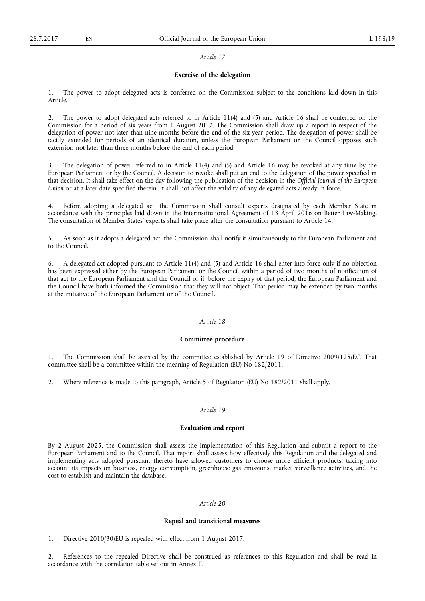## **Exercise of the delegation**

1. The power to adopt delegated acts is conferred on the Commission subject to the conditions laid down in this Article.

2. The power to adopt delegated acts referred to in Article 11(4) and (5) and Article 16 shall be conferred on the Commission for a period of six years from 1 August 2017. The Commission shall draw up a report in respect of the delegation of power not later than nine months before the end of the six-year period. The delegation of power shall be tacitly extended for periods of an identical duration, unless the European Parliament or the Council opposes such extension not later than three months before the end of each period.

3. The delegation of power referred to in Article 11(4) and (5) and Article 16 may be revoked at any time by the European Parliament or by the Council. A decision to revoke shall put an end to the delegation of the power specified in that decision. It shall take effect on the day following the publication of the decision in the *Official Journal of the European Union* or at a later date specified therein. It shall not affect the validity of any delegated acts already in force.

4. Before adopting a delegated act, the Commission shall consult experts designated by each Member State in accordance with the principles laid down in the Interinstitutional Agreement of 13 April 2016 on Better Law-Making. The consultation of Member States' experts shall take place after the consultation pursuant to Article 14.

5. As soon as it adopts a delegated act, the Commission shall notify it simultaneously to the European Parliament and to the Council.

6. A delegated act adopted pursuant to Article 11(4) and (5) and Article 16 shall enter into force only if no objection has been expressed either by the European Parliament or the Council within a period of two months of notification of that act to the European Parliament and the Council or if, before the expiry of that period, the European Parliament and the Council have both informed the Commission that they will not object. That period may be extended by two months at the initiative of the European Parliament or of the Council.

#### *Article 18*

## **Committee procedure**

1. The Commission shall be assisted by the committee established by Article 19 of Directive 2009/125/EC. That committee shall be a committee within the meaning of Regulation (EU) No 182/2011.

2. Where reference is made to this paragraph, Article 5 of Regulation (EU) No 182/2011 shall apply.

#### *Article 19*

#### **Evaluation and report**

By 2 August 2025, the Commission shall assess the implementation of this Regulation and submit a report to the European Parliament and to the Council. That report shall assess how effectively this Regulation and the delegated and implementing acts adopted pursuant thereto have allowed customers to choose more efficient products, taking into account its impacts on business, energy consumption, greenhouse gas emissions, market surveillance activities, and the cost to establish and maintain the database.

## *Article 20*

## **Repeal and transitional measures**

1. Directive 2010/30/EU is repealed with effect from 1 August 2017.

2. References to the repealed Directive shall be construed as references to this Regulation and shall be read in accordance with the correlation table set out in Annex II.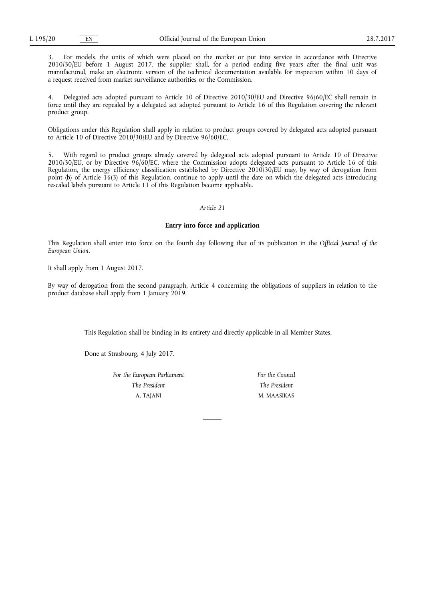3. For models, the units of which were placed on the market or put into service in accordance with Directive 2010/30/EU before 1 August 2017, the supplier shall, for a period ending five years after the final unit was manufactured, make an electronic version of the technical documentation available for inspection within 10 days of a request received from market surveillance authorities or the Commission.

4. Delegated acts adopted pursuant to Article 10 of Directive 2010/30/EU and Directive 96/60/EC shall remain in force until they are repealed by a delegated act adopted pursuant to Article 16 of this Regulation covering the relevant product group.

Obligations under this Regulation shall apply in relation to product groups covered by delegated acts adopted pursuant to Article 10 of Directive 2010/30/EU and by Directive 96/60/EC.

With regard to product groups already covered by delegated acts adopted pursuant to Article 10 of Directive 2010/30/EU, or by Directive 96/60/EC, where the Commission adopts delegated acts pursuant to Article 16 of this Regulation, the energy efficiency classification established by Directive 2010/30/EU may, by way of derogation from point (b) of Article 16(3) of this Regulation, continue to apply until the date on which the delegated acts introducing rescaled labels pursuant to Article 11 of this Regulation become applicable.

## *Article 21*

#### **Entry into force and application**

This Regulation shall enter into force on the fourth day following that of its publication in the *Official Journal of the European Union*.

It shall apply from 1 August 2017.

By way of derogation from the second paragraph, Article 4 concerning the obligations of suppliers in relation to the product database shall apply from 1 January 2019.

This Regulation shall be binding in its entirety and directly applicable in all Member States.

Done at Strasbourg, 4 July 2017.

*For the European Parliament The President*  A. TAJANI

*For the Council The President*  M. MAASIKAS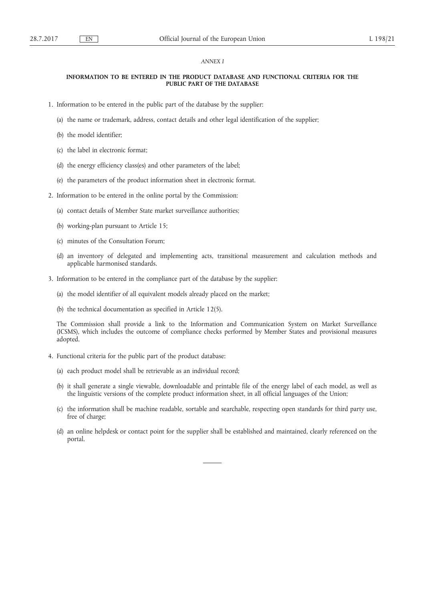#### *ANNEX I*

## **INFORMATION TO BE ENTERED IN THE PRODUCT DATABASE AND FUNCTIONAL CRITERIA FOR THE PUBLIC PART OF THE DATABASE**

- 1. Information to be entered in the public part of the database by the supplier:
	- (a) the name or trademark, address, contact details and other legal identification of the supplier;
	- (b) the model identifier;
	- (c) the label in electronic format;
	- (d) the energy efficiency class(es) and other parameters of the label;
	- (e) the parameters of the product information sheet in electronic format.
- 2. Information to be entered in the online portal by the Commission:
	- (a) contact details of Member State market surveillance authorities;
	- (b) working-plan pursuant to Article 15;
	- (c) minutes of the Consultation Forum;
	- (d) an inventory of delegated and implementing acts, transitional measurement and calculation methods and applicable harmonised standards.
- 3. Information to be entered in the compliance part of the database by the supplier:
	- (a) the model identifier of all equivalent models already placed on the market;
	- (b) the technical documentation as specified in Article 12(5).

The Commission shall provide a link to the Information and Communication System on Market Surveillance (ICSMS), which includes the outcome of compliance checks performed by Member States and provisional measures adopted.

- 4. Functional criteria for the public part of the product database:
	- (a) each product model shall be retrievable as an individual record;
	- (b) it shall generate a single viewable, downloadable and printable file of the energy label of each model, as well as the linguistic versions of the complete product information sheet, in all official languages of the Union;
	- (c) the information shall be machine readable, sortable and searchable, respecting open standards for third party use, free of charge;
	- (d) an online helpdesk or contact point for the supplier shall be established and maintained, clearly referenced on the portal.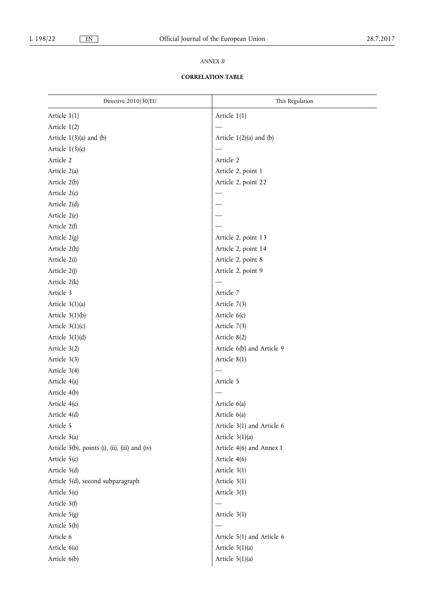## *ANNEX II*

## **CORRELATION TABLE**

| Directive 2010/30/EU                           | This Regulation             |
|------------------------------------------------|-----------------------------|
| Article 1(1)                                   | Article 1(1)                |
| Article 1(2)                                   |                             |
| Article $1(3)(a)$ and $(b)$                    | Article $1(2)(a)$ and $(b)$ |
| Article $1(3)(c)$                              |                             |
| Article 2                                      | Article 2                   |
| Article 2(a)                                   | Article 2, point 1          |
| Article 2(b)                                   | Article 2, point 22         |
| Article 2(c)                                   |                             |
| Article 2(d)                                   |                             |
| Article 2(e)                                   |                             |
| Article 2(f)                                   |                             |
| Article 2(g)                                   | Article 2, point 13         |
| Article 2(h)                                   | Article 2, point 14         |
| Article 2(i)                                   | Article 2, point 8          |
| Article 2(j)                                   | Article 2, point 9          |
| Article 2(k)                                   |                             |
| Article 3                                      | Article 7                   |
| Article $3(1)(a)$                              | Article 7(3)                |
| Article $3(1)(b)$                              | Article 6(c)                |
| Article $3(1)(c)$                              | Article 7(3)                |
| Article $3(1)(d)$                              | Article 8(2)                |
| Article 3(2)                                   | Article 6(b) and Article 9  |
| Article 3(3)                                   | Article 8(1)                |
| Article 3(4)                                   |                             |
| Article 4(a)                                   | Article 5                   |
| Article 4(b)                                   |                             |
| Article 4(c)                                   | Article 6(a)                |
| Article 4(d)                                   | Article $6(a)$              |
| Article 5                                      | Article 3(1) and Article 6  |
| Article 5(a)                                   | Article $3(1)(a)$           |
| Article 5(b), points (i), (ii), (iii) and (iv) | Article 4(6) and Annex I    |
| Article 5(c)                                   | Article 4(6)                |
| Article 5(d)                                   | Article 3(1)                |
| Article 5(d), second subparagraph              | Article 3(1)                |
| Article 5(e)                                   | Article 3(1)                |
| Article 5(f)                                   |                             |
| Article 5(g)                                   | Article 3(1)                |
| Article 5(h)                                   |                             |
| Article 6                                      | Article 5(1) and Article 6  |
| Article 6(a)                                   | Article $5(1)(a)$           |
| Article 6(b)                                   | Article $5(1)(a)$           |